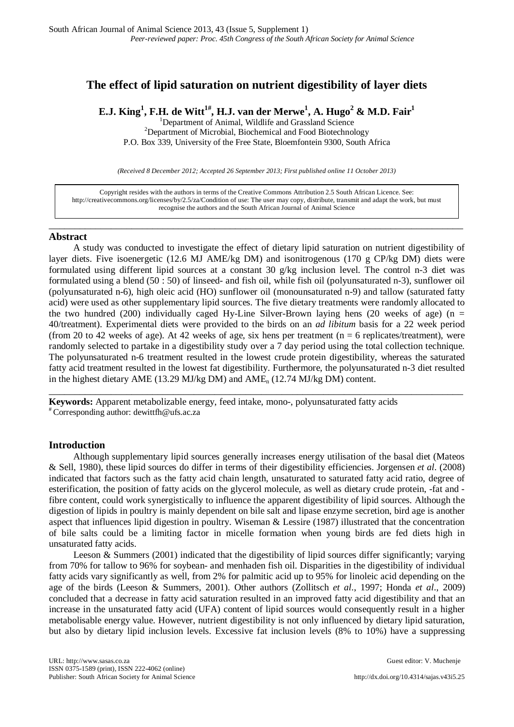# **The effect of lipid saturation on nutrient digestibility of layer diets**

**E.J. King1 , F.H. de Witt1#, H.J. van der Merwe1 , A. Hugo<sup>2</sup> & M.D. Fair1**

<sup>1</sup> Department of Animal, Wildlife and Grassland Science<br><sup>2</sup> Department of Microbial, Biochamical and Eood Biotechno

<sup>2</sup>Department of Microbial, Biochemical and Food Biotechnology

P.O. Box 339, University of the Free State, Bloemfontein 9300, South Africa

*(Received 8 December 2012; Accepted 26 September 2013; First published online 11 October 2013)*

Copyright resides with the authors in terms of the Creative Commons Attribution 2.5 South African Licence. See: [http://creativecommons.org/licenses/by/2.5/za/C](http://creativecommons.org/licenses/by/2.5/za/)ondition of use: The user may copy, distribute, transmit and adapt the work, but must recognise the authors and the South African Journal of Animal Science

\_\_\_\_\_\_\_\_\_\_\_\_\_\_\_\_\_\_\_\_\_\_\_\_\_\_\_\_\_\_\_\_\_\_\_\_\_\_\_\_\_\_\_\_\_\_\_\_\_\_\_\_\_\_\_\_\_\_\_\_\_\_\_\_\_\_\_\_\_\_\_\_\_\_\_\_\_\_\_\_

## **Abstract**

A study was conducted to investigate the effect of dietary lipid saturation on nutrient digestibility of layer diets. Five isoenergetic (12.6 MJ AME/kg DM) and isonitrogenous (170 g CP/kg DM) diets were formulated using different lipid sources at a constant 30 g/kg inclusion level. The control n-3 diet was formulated using a blend (50 : 50) of linseed- and fish oil, while fish oil (polyunsaturated n-3), sunflower oil (polyunsaturated n-6), high oleic acid (HO) sunflower oil (monounsaturated n-9) and tallow (saturated fatty acid) were used as other supplementary lipid sources. The five dietary treatments were randomly allocated to the two hundred (200) individually caged Hy-Line Silver-Brown laying hens (20 weeks of age) (n = 40/treatment). Experimental diets were provided to the birds on an *ad libitum* basis for a 22 week period (from 20 to 42 weeks of age). At 42 weeks of age, six hens per treatment ( $n = 6$  replicates/treatment), were randomly selected to partake in a digestibility study over a 7 day period using the total collection technique. The polyunsaturated n-6 treatment resulted in the lowest crude protein digestibility, whereas the saturated fatty acid treatment resulted in the lowest fat digestibility. Furthermore, the polyunsaturated n-3 diet resulted in the highest dietary AME (13.29 MJ/kg DM) and AMEn (12.74 MJ/kg DM) content.

\_\_\_\_\_\_\_\_\_\_\_\_\_\_\_\_\_\_\_\_\_\_\_\_\_\_\_\_\_\_\_\_\_\_\_\_\_\_\_\_\_\_\_\_\_\_\_\_\_\_\_\_\_\_\_\_\_\_\_\_\_\_\_\_\_\_\_\_\_\_\_\_\_\_\_\_\_\_\_\_

**Keywords:** Apparent metabolizable energy, feed intake, mono-, polyunsaturated fatty acids # Corresponding author: [dewittfh@ufs.ac.za](mailto:dewittfh@ufs.ac.za)

## **Introduction**

Although supplementary lipid sources generally increases energy utilisation of the basal diet (Mateos & Sell, 1980), these lipid sources do differ in terms of their digestibility efficiencies. Jorgensen *et al*. (2008) indicated that factors such as the fatty acid chain length, unsaturated to saturated fatty acid ratio, degree of esterification, the position of fatty acids on the glycerol molecule, as well as dietary crude protein, -fat and fibre content, could work synergistically to influence the apparent digestibility of lipid sources. Although the digestion of lipids in poultry is mainly dependent on bile salt and lipase enzyme secretion, bird age is another aspect that influences lipid digestion in poultry. Wiseman & Lessire (1987) illustrated that the concentration of bile salts could be a limiting factor in micelle formation when young birds are fed diets high in unsaturated fatty acids.

Leeson & Summers (2001) indicated that the digestibility of lipid sources differ significantly; varying from 70% for tallow to 96% for soybean- and menhaden fish oil. Disparities in the digestibility of individual fatty acids vary significantly as well, from 2% for palmitic acid up to 95% for linoleic acid depending on the age of the birds (Leeson & Summers, 2001). Other authors (Zollitsch *et al*., 1997; Honda *et al*., 2009) concluded that a decrease in fatty acid saturation resulted in an improved fatty acid digestibility and that an increase in the unsaturated fatty acid (UFA) content of lipid sources would consequently result in a higher metabolisable energy value. However, nutrient digestibility is not only influenced by dietary lipid saturation, but also by dietary lipid inclusion levels. Excessive fat inclusion levels (8% to 10%) have a suppressing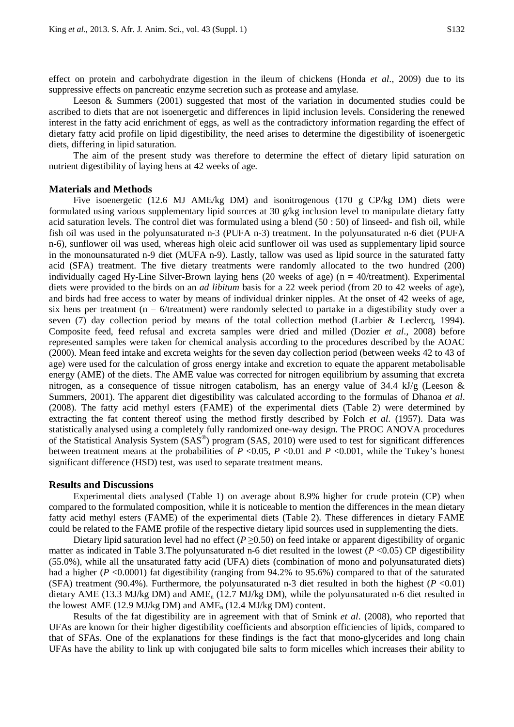effect on protein and carbohydrate digestion in the ileum of chickens (Honda *et al*., 2009) due to its suppressive effects on pancreatic enzyme secretion such as protease and amylase.

Leeson & Summers (2001) suggested that most of the variation in documented studies could be ascribed to diets that are not isoenergetic and differences in lipid inclusion levels. Considering the renewed interest in the fatty acid enrichment of eggs, as well as the contradictory information regarding the effect of dietary fatty acid profile on lipid digestibility, the need arises to determine the digestibility of isoenergetic diets, differing in lipid saturation.

The aim of the present study was therefore to determine the effect of dietary lipid saturation on nutrient digestibility of laying hens at 42 weeks of age.

#### **Materials and Methods**

Five isoenergetic (12.6 MJ AME/kg DM) and isonitrogenous (170 g CP/kg DM) diets were formulated using various supplementary lipid sources at 30 g/kg inclusion level to manipulate dietary fatty acid saturation levels. The control diet was formulated using a blend (50 : 50) of linseed- and fish oil, while fish oil was used in the polyunsaturated n-3 (PUFA n-3) treatment. In the polyunsaturated n-6 diet (PUFA n-6), sunflower oil was used, whereas high oleic acid sunflower oil was used as supplementary lipid source in the monounsaturated n-9 diet (MUFA n-9). Lastly, tallow was used as lipid source in the saturated fatty acid (SFA) treatment. The five dietary treatments were randomly allocated to the two hundred (200) individually caged Hy-Line Silver-Brown laying hens (20 weeks of age) ( $n = 40$ /treatment). Experimental diets were provided to the birds on an *ad libitum* basis for a 22 week period (from 20 to 42 weeks of age), and birds had free access to water by means of individual drinker nipples. At the onset of 42 weeks of age, six hens per treatment ( $n = 6$ /treatment) were randomly selected to partake in a digestibility study over a seven (7) day collection period by means of the total collection method (Larbier & Leclercq, 1994). Composite feed, feed refusal and excreta samples were dried and milled (Dozier *et al*., 2008) before represented samples were taken for chemical analysis according to the procedures described by the AOAC (2000). Mean feed intake and excreta weights for the seven day collection period (between weeks 42 to 43 of age) were used for the calculation of gross energy intake and excretion to equate the apparent metabolisable energy (AME) of the diets. The AME value was corrected for nitrogen equilibrium by assuming that excreta nitrogen, as a consequence of tissue nitrogen catabolism, has an energy value of 34.4 kJ/g (Leeson  $\&$ Summers, 2001). The apparent diet digestibility was calculated according to the formulas of Dhanoa *et al*. (2008). The fatty acid methyl esters (FAME) of the experimental diets (Table 2) were determined by extracting the fat content thereof using the method firstly described by Folch *et al*. (1957). Data was statistically analysed using a completely fully randomized one-way design. The PROC ANOVA procedures of the Statistical Analysis System (SAS®) program (SAS, 2010) were used to test for significant differences between treatment means at the probabilities of *P* <0.05, *P* <0.01 and *P* <0.001, while the Tukey's honest significant difference (HSD) test, was used to separate treatment means.

#### **Results and Discussions**

Experimental diets analysed (Table 1) on average about 8.9% higher for crude protein (CP) when compared to the formulated composition, while it is noticeable to mention the differences in the mean dietary fatty acid methyl esters (FAME) of the experimental diets (Table 2). These differences in dietary FAME could be related to the FAME profile of the respective dietary lipid sources used in supplementing the diets.

Dietary lipid saturation level had no effect ( $P \ge 0.50$ ) on feed intake or apparent digestibility of organic matter as indicated in Table 3.The polyunsaturated n-6 diet resulted in the lowest (*P* <0.05) CP digestibility (55.0%), while all the unsaturated fatty acid (UFA) diets (combination of mono and polyunsaturated diets) had a higher (*P* <0.0001) fat digestibility (ranging from 94.2% to 95.6%) compared to that of the saturated (SFA) treatment (90.4%). Furthermore, the polyunsaturated n-3 diet resulted in both the highest  $(P < 0.01)$ dietary AME (13.3 MJ/kg DM) and AME<sub>n</sub> (12.7 MJ/kg DM), while the polyunsaturated n-6 diet resulted in the lowest AME (12.9 MJ/kg DM) and AME<sub>n</sub> (12.4 MJ/kg DM) content.

Results of the fat digestibility are in agreement with that of Smink *et al*. (2008), who reported that UFAs are known for their higher digestibility coefficients and absorption efficiencies of lipids, compared to that of SFAs. One of the explanations for these findings is the fact that mono-glycerides and long chain UFAs have the ability to link up with conjugated bile salts to form micelles which increases their ability to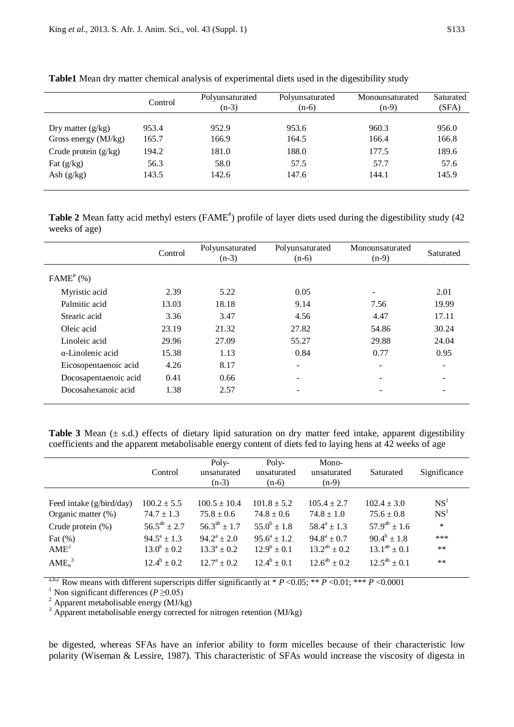|                        | Control | Polyunsaturated<br>$(n-3)$ | Polyunsaturated<br>$(n-6)$ | Monounsaturated<br>$(n-9)$ | Saturated<br>(SFA) |
|------------------------|---------|----------------------------|----------------------------|----------------------------|--------------------|
| Dry matter $(g/kg)$    | 953.4   | 952.9                      | 953.6                      | 960.3                      | 956.0              |
| Gross energy $(MJ/kg)$ | 165.7   | 166.9                      | 164.5                      | 166.4                      | 166.8              |
| Crude protein $(g/kg)$ | 194.2   | 181.0                      | 188.0                      | 177.5                      | 189.6              |
| Fat $(g/kg)$           | 56.3    | 58.0                       | 57.5                       | 57.7                       | 57.6               |
| Ash $(g/kg)$           | 143.5   | 142.6                      | 147.6                      | 144.1                      | 145.9              |

**Table1** Mean dry matter chemical analysis of experimental diets used in the digestibility study

Table 2 Mean fatty acid methyl esters (FAME<sup>#</sup>) profile of layer diets used during the digestibility study (42 weeks of age)

|                          | Control | Polyunsaturated<br>$(n-3)$ | Polyunsaturated<br>$(n-6)$ | Monounsaturated<br>$(n-9)$ | Saturated         |
|--------------------------|---------|----------------------------|----------------------------|----------------------------|-------------------|
| $FAME^{\#}$ (%)          |         |                            |                            |                            |                   |
| Myristic acid            | 2.39    | 5.22                       | 0.05                       |                            | 2.01              |
| Palmitic acid            | 13.03   | 18.18                      | 9.14                       | 7.56                       | 19.99             |
| Stearic acid             | 3.36    | 3.47                       | 4.56                       | 4.47                       | 17.11             |
| Oleic acid               | 23.19   | 21.32                      | 27.82                      | 54.86                      | 30.24             |
| Linoleic acid            | 29.96   | 27.09                      | 55.27                      | 29.88                      | 24.04             |
| $\alpha$ -Linolenic acid | 15.38   | 1.13                       | 0.84                       | 0.77                       | 0.95              |
| Eicosopentaenoic acid    | 4.26    | 8.17                       | $\overline{\phantom{a}}$   | ۰                          | $\qquad \qquad -$ |
| Docosapentaenoic acid    | 0.41    | 0.66                       | $\overline{\phantom{a}}$   |                            |                   |
| Docosahexanoic acid      | 1.38    | 2.57                       | -                          |                            |                   |

**Table 3** Mean  $(\pm s.d.)$  effects of dietary lipid saturation on dry matter feed intake, apparent digestibility coefficients and the apparent metabolisable energy content of diets fed to laying hens at 42 weeks of age

|                               | Control             | $Poly-$<br>unsaturated<br>$(n-3)$ | $Poly-$<br>unsaturated<br>$(n-6)$ | Mono-<br>unsaturated<br>$(n-9)$ | Saturated           | Significance    |
|-------------------------------|---------------------|-----------------------------------|-----------------------------------|---------------------------------|---------------------|-----------------|
|                               |                     |                                   |                                   |                                 |                     |                 |
| Feed intake (g/bird/day)      | $100.2 \pm 5.5$     | $100.5 \pm 10.4$                  | $101.8 \pm 5.2$                   | $105.4 \pm 2.7$                 | $102.4 \pm 3.0$     | NS <sup>1</sup> |
| Organic matter $(\%)$         | $74.7 \pm 1.3$      | $75.8 \pm 0.6$                    | $74.8 \pm 0.6$                    | $74.8 \pm 1.0$                  | $75.6 \pm 0.8$      | NS <sup>1</sup> |
| Crude protein $(\%)$          | $56.5^{ab} \pm 2.7$ | $56.3^{ab} \pm 1.7$               | $55.0^b \pm 1.8$                  | $58.4^a + 1.3$                  | $57.9^{ab} \pm 1.6$ | $\ast$          |
| Fat $(\%)$                    | $94.5^a \pm 1.3$    | $94.2^a + 2.0$                    | $95.6^a \pm 1.2$                  | $94.8^a \pm 0.7$                | $90.4^b \pm 1.8$    | ***             |
| AME <sup>2</sup>              | $13.0^b \pm 0.2$    | $13.3^a \pm 0.2$                  | $12.9^b \pm 0.1$                  | $13.2^{ab} \pm 0.2$             | $13.1^{ab} \pm 0.1$ | $***$           |
| AME <sub>n</sub> <sup>3</sup> | $12.4^b \pm 0.2$    | $12.7^{\rm a} \pm 0.2$            | $12.4^b + 0.1$                    | $12.6^{ab} + 0.2$               | $12.5^{ab} \pm 0.1$ | $***$           |

<sup>a,b,c</sup> Row means with different superscripts differ significantly at \* *P* <0.05; \*\* *P* <0.01; \*\*\* *P* <0.0001<br><sup>1</sup> Non significant differences (*P* ≥0.05)<br><sup>2</sup> Apparent metabolisable energy (MJ/kg)

 $\frac{3}{3}$  Apparent metabolisable energy corrected for nitrogen retention (MJ/kg)

be digested, whereas SFAs have an inferior ability to form micelles because of their characteristic low polarity (Wiseman & Lessire, 1987). This characteristic of SFAs would increase the viscosity of digesta in